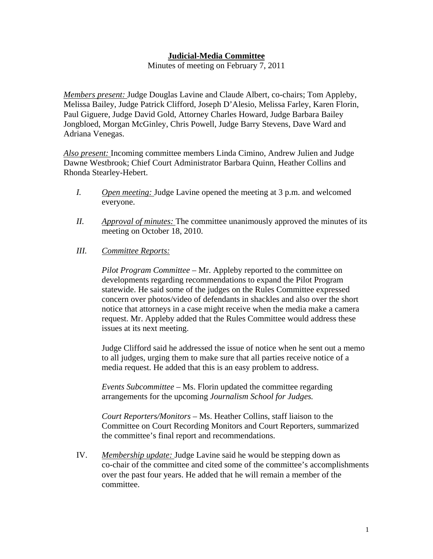## **Judicial-Media Committee**

Minutes of meeting on February 7, 2011

*Members present:* Judge Douglas Lavine and Claude Albert, co-chairs; Tom Appleby, Melissa Bailey, Judge Patrick Clifford, Joseph D'Alesio, Melissa Farley, Karen Florin, Paul Giguere, Judge David Gold, Attorney Charles Howard, Judge Barbara Bailey Jongbloed, Morgan McGinley, Chris Powell, Judge Barry Stevens, Dave Ward and Adriana Venegas.

*Also present:* Incoming committee members Linda Cimino, Andrew Julien and Judge Dawne Westbrook; Chief Court Administrator Barbara Quinn, Heather Collins and Rhonda Stearley-Hebert.

- *I. Open meeting:* Judge Lavine opened the meeting at 3 p.m. and welcomed everyone.
- *II. Approval of minutes:* The committee unanimously approved the minutes of its meeting on October 18, 2010.
- *III. Committee Reports:*

*Pilot Program Committee –* Mr. Appleby reported to the committee on developments regarding recommendations to expand the Pilot Program statewide. He said some of the judges on the Rules Committee expressed concern over photos/video of defendants in shackles and also over the short notice that attorneys in a case might receive when the media make a camera request. Mr. Appleby added that the Rules Committee would address these issues at its next meeting.

Judge Clifford said he addressed the issue of notice when he sent out a memo to all judges, urging them to make sure that all parties receive notice of a media request. He added that this is an easy problem to address.

*Events Subcommittee –* Ms. Florin updated the committee regarding arrangements for the upcoming *Journalism School for Judges.* 

*Court Reporters/Monitors –* Ms. Heather Collins, staff liaison to the Committee on Court Recording Monitors and Court Reporters, summarized the committee's final report and recommendations.

IV. *Membership update:* Judge Lavine said he would be stepping down as co-chair of the committee and cited some of the committee's accomplishments over the past four years. He added that he will remain a member of the committee.